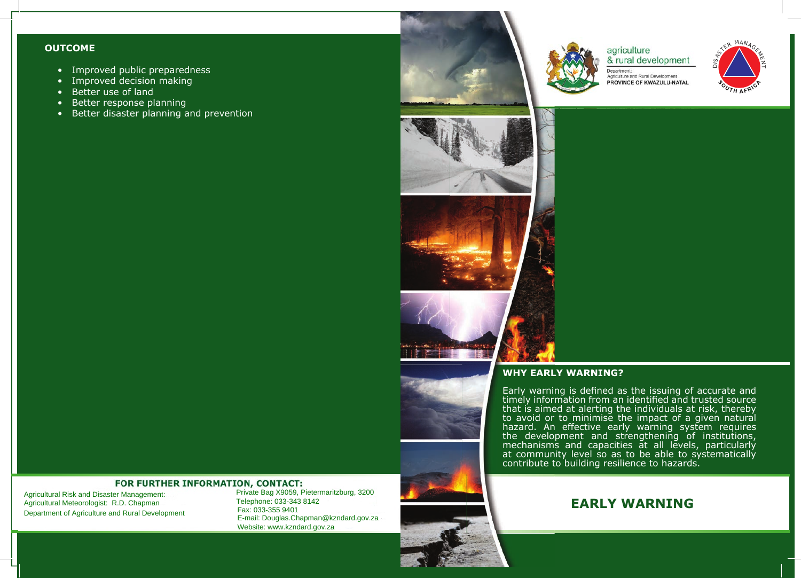#### **OUTCOME**

- Improved public preparedness
- Improved decision making
- Better use of land
- Better response planning
- Better disaster planning and prevention



agriculture & rural development Department:

Agriculture and Rural Development PROVINCE OF KWAZULU-NATAL





# **WHY EARLY WARNING?**

Early warning is defined as the issuing of accurate and timely information from an identified and trusted source that is aimed at alerting the individuals at risk, thereby to avoid or to minimise the impact of a given natural hazard. An effective early warning system requires the development and strengthening of institutions, mechanisms and capacities at all levels, particularly at community level so as to be able to systematically contribute to building resilience to hazards.

#### **FOR FURTHER INFORMATION, CONTACT:**

Agricultural Risk and Disaster Management: Agricultural Meteorologist: R.D. Chapman nara meneerolegien waar en iment or Agriculture an

Private Bag X9059, Pietermaritzburg, 3200 Telephone: 033-343 8142 E-mail: Douglas.Chapman@kzndard.gov.za Website: www.kzndard.gov.za Agricultural Risk and Disaster Management:<br>
Agricultural Meteorologist: R.D. Chapman Telephone: 033-343 8142<br>
Department of Agriculture and Rural Development Fax: 033-355 9401<br>
E-mail: Douglas.Chapman@kzndard.gov.za<br>
Websi

# **EARLY WARNING**